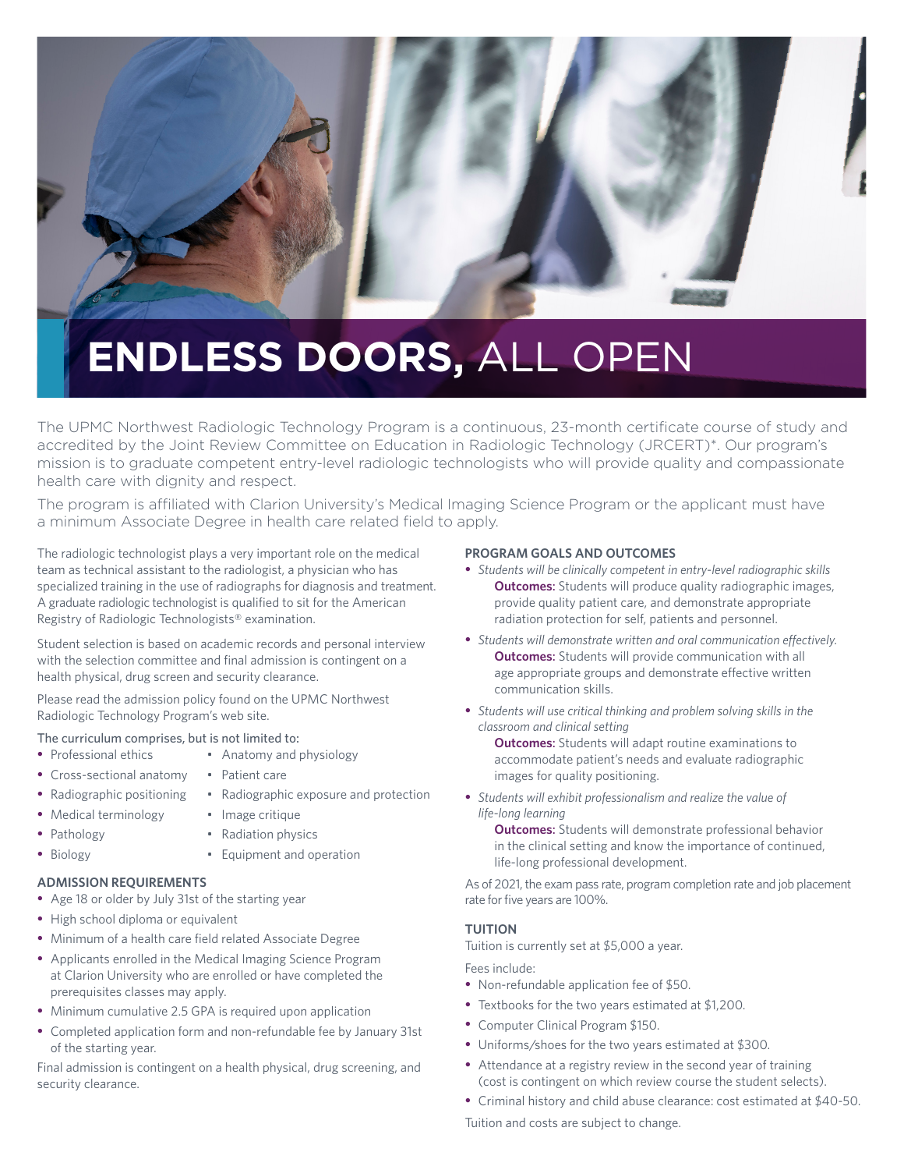

# **ENDLESS DOORS,** ALL OPEN

The UPMC Northwest Radiologic Technology Program is a continuous, 23-month certificate course of study and accredited by the Joint Review Committee on Education in Radiologic Technology (JRCERT)\*. Our program's mission is to graduate competent entry-level radiologic technologists who will provide quality and compassionate health care with dignity and respect.

The program is affiliated with Clarion University's Medical Imaging Science Program or the applicant must have a minimum Associate Degree in health care related field to apply.

The radiologic technologist plays a very important role on the medical team as technical assistant to the radiologist, a physician who has specialized training in the use of radiographs for diagnosis and treatment. A graduate radiologic technologist is qualified to sit for the American Registry of Radiologic Technologists® examination.

Student selection is based on academic records and personal interview with the selection committee and final admission is contingent on a health physical, drug screen and security clearance.

Please read the admission policy found on the UPMC Northwest Radiologic Technology Program's web site.

## The curriculum comprises, but is not limited to:<br>• Professional ethics • Anatomy and r

- 
- Cross-sectional anatomy Patient care
- Radiographic positioning Radiographic exposure and protection
- Medical terminology Image critique
- Pathology  **Radiation physics**

• Anatomy and physiology

- 
- Biology  **Equipment and operation**

#### **ADMISSION REQUIREMENTS**

- Age 18 or older by July 31st of the starting year
- High school diploma or equivalent
- Minimum of a health care field related Associate Degree
- Applicants enrolled in the Medical Imaging Science Program at Clarion University who are enrolled or have completed the prerequisites classes may apply.
- Minimum cumulative 2.5 GPA is required upon application
- Completed application form and non-refundable fee by January 31st of the starting year.

Final admission is contingent on a health physical, drug screening, and security clearance.

#### **PROGRAM GOALS AND OUTCOMES**

- *Students will be clinically competent in entry-level radiographic skills* **Outcomes:** Students will produce quality radiographic images, provide quality patient care, and demonstrate appropriate radiation protection for self, patients and personnel.
- *Students will demonstrate written and oral communication effectively.* **Outcomes:** Students will provide communication with all age appropriate groups and demonstrate effective written communication skills.
- *Students will use critical thinking and problem solving skills in the classroom and clinical setting*

 **Outcomes**: Students will adapt routine examinations to accommodate patient's needs and evaluate radiographic images for quality positioning.

• *Students will exhibit professionalism and realize the value of life-long learning*

 **Outcomes**: Students will demonstrate professional behavior in the clinical setting and know the importance of continued, life-long professional development.

As of 2021, the exam pass rate, program completion rate and job placement rate for five years are 100%.

### **TUITION**

Tuition is currently set at \$5,000 a year.

#### Fees include:

- Non-refundable application fee of \$50.
- Textbooks for the two years estimated at \$1,200.
- Computer Clinical Program \$150.
- Uniforms/shoes for the two years estimated at \$300.
- Attendance at a registry review in the second year of training (cost is contingent on which review course the student selects).
- Criminal history and child abuse clearance: cost estimated at \$40-50.

Tuition and costs are subject to change.